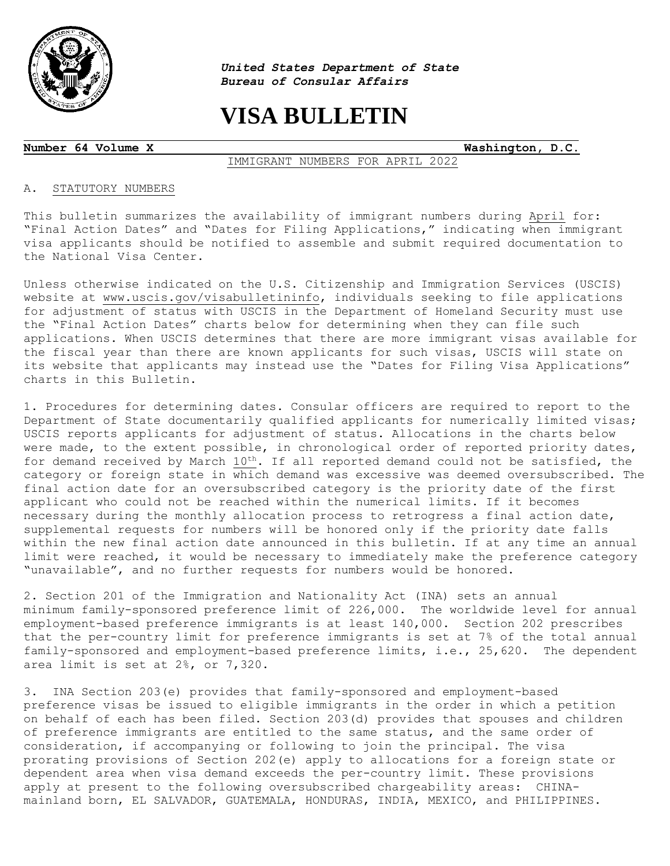

 $\overline{a}$ 

*United States Department of State Bureau of Consular Affairs*

# **VISA BULLETIN**

**Number 64 Volume X Washington, D.C.**

# IMMIGRANT NUMBERS FOR APRIL 2022

### A. STATUTORY NUMBERS

This bulletin summarizes the availability of immigrant numbers during April for: "Final Action Dates" and "Dates for Filing Applications," indicating when immigrant visa applicants should be notified to assemble and submit required documentation to the National Visa Center.

Unless otherwise indicated on the U.S. Citizenship and Immigration Services (USCIS) website at [www.uscis.gov/visabulletininfo,](http://www.uscis.gov/visabulletininfo) individuals seeking to file applications for adjustment of status with USCIS in the Department of Homeland Security must use the "Final Action Dates" charts below for determining when they can file such applications. When USCIS determines that there are more immigrant visas available for the fiscal year than there are known applicants for such visas, USCIS will state on its website that applicants may instead use the "Dates for Filing Visa Applications" charts in this Bulletin.

1. Procedures for determining dates. Consular officers are required to report to the Department of State documentarily qualified applicants for numerically limited visas; USCIS reports applicants for adjustment of status. Allocations in the charts below were made, to the extent possible, in chronological order of reported priority dates, for demand received by March 10<sup>th</sup>. If all reported demand could not be satisfied, the category or foreign state in which demand was excessive was deemed oversubscribed. The final action date for an oversubscribed category is the priority date of the first applicant who could not be reached within the numerical limits. If it becomes necessary during the monthly allocation process to retrogress a final action date, supplemental requests for numbers will be honored only if the priority date falls within the new final action date announced in this bulletin. If at any time an annual limit were reached, it would be necessary to immediately make the preference category "unavailable", and no further requests for numbers would be honored.

2. Section 201 of the Immigration and Nationality Act (INA) sets an annual minimum family-sponsored preference limit of 226,000. The worldwide level for annual employment-based preference immigrants is at least 140,000. Section 202 prescribes that the per-country limit for preference immigrants is set at 7% of the total annual family-sponsored and employment-based preference limits, i.e., 25,620. The dependent area limit is set at 2%, or 7,320.

3. INA Section 203(e) provides that family-sponsored and employment-based preference visas be issued to eligible immigrants in the order in which a petition on behalf of each has been filed. Section 203(d) provides that spouses and children of preference immigrants are entitled to the same status, and the same order of consideration, if accompanying or following to join the principal. The visa prorating provisions of Section 202(e) apply to allocations for a foreign state or dependent area when visa demand exceeds the per-country limit. These provisions apply at present to the following oversubscribed chargeability areas: CHINAmainland born, EL SALVADOR, GUATEMALA, HONDURAS, INDIA, MEXICO, and PHILIPPINES.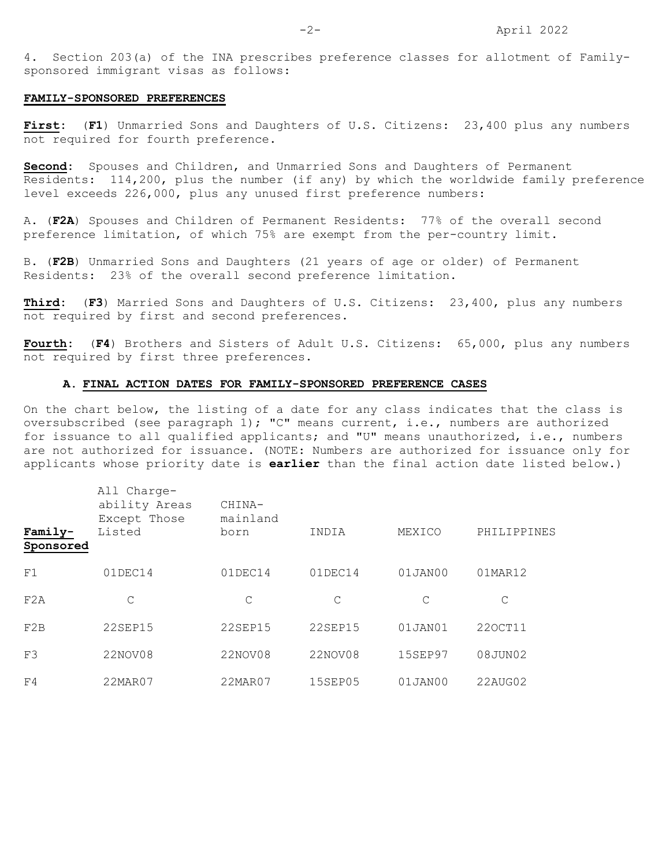4. Section 203(a) of the INA prescribes preference classes for allotment of Familysponsored immigrant visas as follows:

#### **FAMILY-SPONSORED PREFERENCES**

**First:** (**F1**) Unmarried Sons and Daughters of U.S. Citizens: 23,400 plus any numbers not required for fourth preference.

**Second:** Spouses and Children, and Unmarried Sons and Daughters of Permanent Residents: 114,200, plus the number (if any) by which the worldwide family preference level exceeds 226,000, plus any unused first preference numbers:

A. (**F2A**) Spouses and Children of Permanent Residents: 77% of the overall second preference limitation, of which 75% are exempt from the per-country limit.

B. (**F2B**) Unmarried Sons and Daughters (21 years of age or older) of Permanent Residents: 23% of the overall second preference limitation.

**Third:** (**F3**) Married Sons and Daughters of U.S. Citizens: 23,400, plus any numbers not required by first and second preferences.

**Fourth:** (**F4**) Brothers and Sisters of Adult U.S. Citizens: 65,000, plus any numbers not required by first three preferences.

#### **A. FINAL ACTION DATES FOR FAMILY-SPONSORED PREFERENCE CASES**

On the chart below, the listing of a date for any class indicates that the class is oversubscribed (see paragraph 1); "C" means current, i.e., numbers are authorized for issuance to all qualified applicants; and "U" means unauthorized, i.e., numbers are not authorized for issuance. (NOTE: Numbers are authorized for issuance only for applicants whose priority date is **earlier** than the final action date listed below.)

| Family-<br>Sponsored | All Charge-<br>ability Areas<br>Except Those<br>Listed | CHINA-<br>mainland<br>born | INDIA      | MEXICO         | PHILIPPINES |
|----------------------|--------------------------------------------------------|----------------------------|------------|----------------|-------------|
| F1                   | $01$ DEC14                                             | 01DEC14                    | $01$ DEC14 | 01JAN00        | 01MAR12     |
| F2A                  | С                                                      | C                          | C          | C              | C           |
| F2B                  | <b>22SEP15</b>                                         | 22SEP15                    | 22SEP15    | 01JAN01        | 220CT11     |
| F3                   | 22NOV08                                                | 22NOV08                    | 22NOV08    | <b>15SEP97</b> | 08JUN02     |
| F4                   | 22MAR07                                                | 22MAR07                    | 15SEP05    | 01JAN00        | 22AUG02     |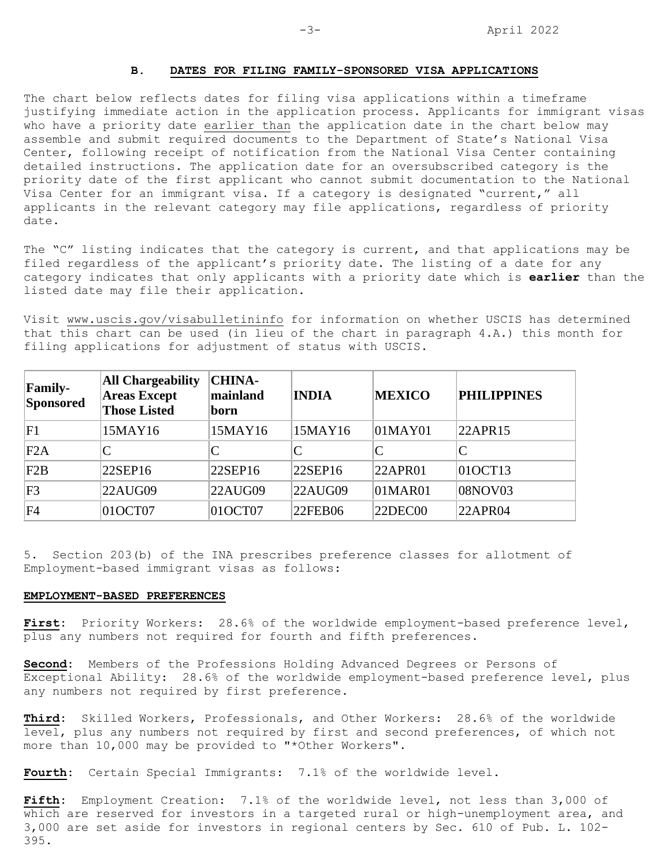# **B. DATES FOR FILING FAMILY-SPONSORED VISA APPLICATIONS**

The chart below reflects dates for filing visa applications within a timeframe justifying immediate action in the application process. Applicants for immigrant visas who have a priority date earlier than the application date in the chart below may assemble and submit required documents to the Department of State's National Visa Center, following receipt of notification from the National Visa Center containing detailed instructions. The application date for an oversubscribed category is the priority date of the first applicant who cannot submit documentation to the National Visa Center for an immigrant visa. If a category is designated "current," all applicants in the relevant category may file applications, regardless of priority date.

The "C" listing indicates that the category is current, and that applications may be filed regardless of the applicant's priority date. The listing of a date for any category indicates that only applicants with a priority date which is **earlier** than the listed date may file their application.

Visit [www.uscis.gov/visabulletininfo](http://www.uscis.gov/visabulletininfo) for information on whether USCIS has determined that this chart can be used (in lieu of the chart in paragraph 4.A.) this month for filing applications for adjustment of status with USCIS.

| <b>Family-</b><br>Sponsored | <b>All Chargeability</b><br><b>Areas Except</b><br><b>Those Listed</b> | <b>CHINA-</b><br>mainland<br>born | <b>INDIA</b>  | <b>MEXICO</b> | <b>PHILIPPINES</b> |
|-----------------------------|------------------------------------------------------------------------|-----------------------------------|---------------|---------------|--------------------|
| F1                          | 15MAY16                                                                | 15MAY16                           | 15MAY16       | 01MAY01       | 22APR15            |
| FA                          | ⌒                                                                      |                                   | $\mathcal{C}$ | C             |                    |
| F2B                         | 22SEP16                                                                | 22SEP16                           | $ 22$ SEP16   | 22APR01       | 01OCT13            |
| F <sub>3</sub>              | 22AUG09                                                                | 22AUG09                           | 22AUG09       | 01MAR01       | 08NOV03            |
| F4                          | 01OCT07                                                                | 01OCT07                           | 22FEB06       | 22DEC00       | 22APR04            |

5. Section 203(b) of the INA prescribes preference classes for allotment of Employment-based immigrant visas as follows:

#### **EMPLOYMENT-BASED PREFERENCES**

**First:** Priority Workers: 28.6% of the worldwide employment-based preference level, plus any numbers not required for fourth and fifth preferences.

**Second:** Members of the Professions Holding Advanced Degrees or Persons of Exceptional Ability: 28.6% of the worldwide employment-based preference level, plus any numbers not required by first preference.

**Third:** Skilled Workers, Professionals, and Other Workers: 28.6% of the worldwide level, plus any numbers not required by first and second preferences, of which not more than 10,000 may be provided to "\*Other Workers".

**Fourth:** Certain Special Immigrants: 7.1% of the worldwide level.

**Fifth:** Employment Creation: 7.1% of the worldwide level, not less than 3,000 of which are reserved for investors in a targeted rural or high-unemployment area, and 3,000 are set aside for investors in regional centers by Sec. 610 of Pub. L. 102- 395.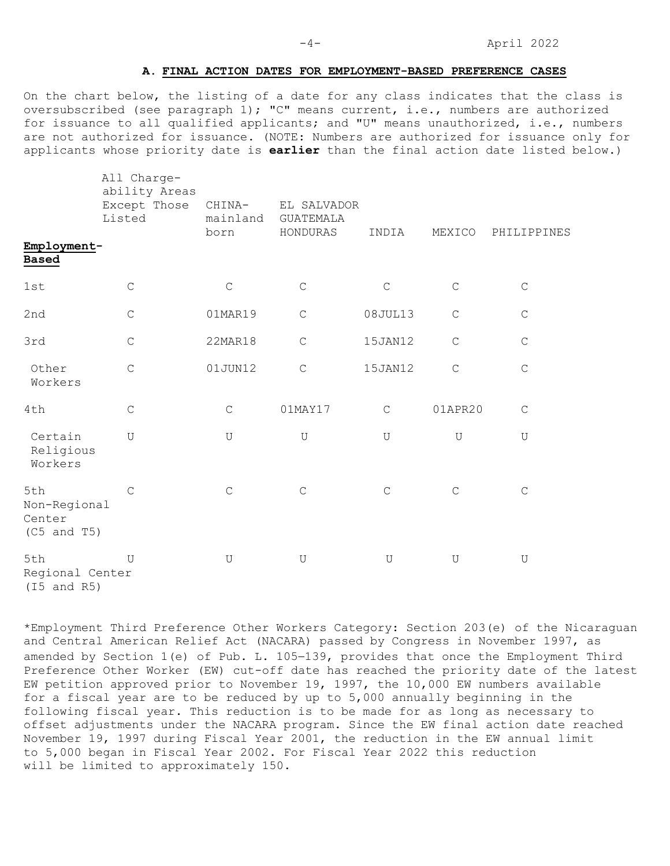## **A. FINAL ACTION DATES FOR EMPLOYMENT-BASED PREFERENCE CASES**

On the chart below, the listing of a date for any class indicates that the class is oversubscribed (see paragraph 1); "C" means current, i.e., numbers are authorized for issuance to all qualified applicants; and "U" means unauthorized, i.e., numbers are not authorized for issuance. (NOTE: Numbers are authorized for issuance only for applicants whose priority date is **earlier** than the final action date listed below.)

|                                                  | All Charge-<br>ability Areas<br>Except Those<br>Listed | CHINA-<br>mainland | EL SALVADOR<br><b>GUATEMALA</b> |             |             |             |  |
|--------------------------------------------------|--------------------------------------------------------|--------------------|---------------------------------|-------------|-------------|-------------|--|
| Employment-<br><b>Based</b>                      |                                                        | born               | HONDURAS                        | INDIA       | MEXICO      | PHILIPPINES |  |
| 1st                                              | $\mathsf C$                                            | $\mathsf C$        | $\mathsf C$                     | $\mathsf C$ | $\mathsf C$ | $\mathsf C$ |  |
| 2nd                                              | $\mathsf C$                                            | 01MAR19            | $\mathsf C$                     | 08JUL13     | $\mathsf C$ | $\mathsf C$ |  |
| 3rd                                              | $\mathsf C$                                            | 22MAR18            | $\mathsf C$                     | 15JAN12     | $\mathsf C$ | $\mathsf C$ |  |
| Other<br>Workers                                 | $\mathsf{C}$                                           | 01JUN12            | $\mathsf C$                     | 15JAN12     | $\mathsf C$ | $\mathsf C$ |  |
| 4th                                              | $\mathsf C$                                            | $\mathsf C$        | 01MAY17                         | $\mathsf C$ | 01APR20     | $\mathsf C$ |  |
| Certain<br>Religious<br>Workers                  | U                                                      | U                  | $\mathbf U$                     | U           | $\mathbf U$ | U           |  |
| 5th<br>Non-Regional<br>Center<br>$(C5$ and $T5)$ | $\mathsf{C}$                                           | $\mathsf C$        | $\mathsf C$                     | $\mathsf C$ | $\mathsf C$ | $\mathsf C$ |  |
| 5th<br>Regional Center<br>$(15$ and $R5)$        | U                                                      | $\mathbf U$        | $\mathbf U$                     | U           | $\mathbf U$ | $\mathbf U$ |  |

\*Employment Third Preference Other Workers Category: Section 203(e) of the Nicaraguan and Central American Relief Act (NACARA) passed by Congress in November 1997, as amended by Section 1(e) of Pub. L. 105−139, provides that once the Employment Third Preference Other Worker (EW) cut-off date has reached the priority date of the latest EW petition approved prior to November 19, 1997, the 10,000 EW numbers available for a fiscal year are to be reduced by up to 5,000 annually beginning in the following fiscal year. This reduction is to be made for as long as necessary to offset adjustments under the NACARA program. Since the EW final action date reached November 19, 1997 during Fiscal Year 2001, the reduction in the EW annual limit to 5,000 began in Fiscal Year 2002. For Fiscal Year 2022 this reduction will be limited to approximately 150.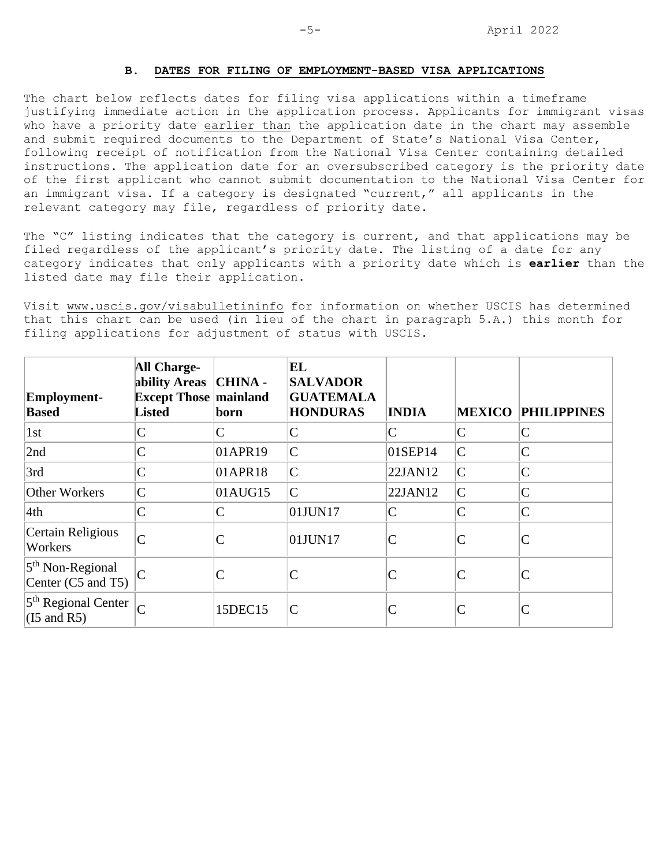# **B. DATES FOR FILING OF EMPLOYMENT-BASED VISA APPLICATIONS**

The chart below reflects dates for filing visa applications within a timeframe justifying immediate action in the application process. Applicants for immigrant visas who have a priority date earlier than the application date in the chart may assemble and submit required documents to the Department of State's National Visa Center, following receipt of notification from the National Visa Center containing detailed instructions. The application date for an oversubscribed category is the priority date of the first applicant who cannot submit documentation to the National Visa Center for an immigrant visa. If a category is designated "current," all applicants in the relevant category may file, regardless of priority date.

The "C" listing indicates that the category is current, and that applications may be filed regardless of the applicant's priority date. The listing of a date for any category indicates that only applicants with a priority date which is **earlier** than the listed date may file their application.

Visit [www.uscis.gov/visabulletininfo](http://www.uscis.gov/visabulletininfo) for information on whether USCIS has determined that this chart can be used (in lieu of the chart in paragraph 5.A.) this month for filing applications for adjustment of status with USCIS.

| Employment-<br><b>Based</b>                               | <b>All Charge-</b><br>ability Areas   CHINA -<br><b>Except Those mainland</b><br><b>Listed</b> | born                   | EL<br><b>SALVADOR</b><br><b>GUATEMALA</b><br><b>HONDURAS</b>                                                                                                                                                                                                                                                                                                                                                                                                                        | <b>INDIA</b> | <b>MEXICO</b>                                                           | <b>PHILIPPINES</b> |
|-----------------------------------------------------------|------------------------------------------------------------------------------------------------|------------------------|-------------------------------------------------------------------------------------------------------------------------------------------------------------------------------------------------------------------------------------------------------------------------------------------------------------------------------------------------------------------------------------------------------------------------------------------------------------------------------------|--------------|-------------------------------------------------------------------------|--------------------|
| 1st                                                       | $\mathsf{C}$                                                                                   | C                      | C                                                                                                                                                                                                                                                                                                                                                                                                                                                                                   | C            | $\mathsf{C}$                                                            | $\mathsf{C}$       |
| 2nd                                                       |                                                                                                | $01$ APR <sub>19</sub> | $\mathsf{C}% _{0}\!\left( \mathcal{M}_{0}\right) ^{T}\!\left( \mathcal{M}_{0}\right) ^{T}\!\left( \mathcal{M}_{0}\right) ^{T}\!\left( \mathcal{M}_{0}\right) ^{T}\!\left( \mathcal{M}_{0}\right) ^{T}\!\left( \mathcal{M}_{0}\right) ^{T}\!\left( \mathcal{M}_{0}\right) ^{T}\!\left( \mathcal{M}_{0}\right) ^{T}\!\left( \mathcal{M}_{0}\right) ^{T}\!\left( \mathcal{M}_{0}\right) ^{T}\!\left( \mathcal{M}_{0}\right) ^{T}\!\left( \mathcal{M}_{0}\right) ^{T}\!\left( \mathcal$ | 01SEP14      | $\mathsf{C}% _{0}\!\left( t\right) \in\mathcal{C}_{0}\!\left( 0\right)$ | $\mathsf{C}$       |
| 3rd                                                       | C                                                                                              | 01APR18                | $\overline{C}$                                                                                                                                                                                                                                                                                                                                                                                                                                                                      | 22JAN12      | $\overline{\text{C}}$                                                   | $\mathsf{C}$       |
| <b>Other Workers</b>                                      | $\mathsf{C}$                                                                                   | 01AUG15                | $\mathsf{C}% _{0}\!\left( \mathcal{M}_{0}\right) ^{T}\!\left( \mathcal{M}_{0}\right) ^{T}\!\left( \mathcal{M}_{0}\right) ^{T}\!\left( \mathcal{M}_{0}\right) ^{T}\!\left( \mathcal{M}_{0}\right) ^{T}\!\left( \mathcal{M}_{0}\right) ^{T}\!\left( \mathcal{M}_{0}\right) ^{T}\!\left( \mathcal{M}_{0}\right) ^{T}\!\left( \mathcal{M}_{0}\right) ^{T}\!\left( \mathcal{M}_{0}\right) ^{T}\!\left( \mathcal{M}_{0}\right) ^{T}\!\left( \mathcal{M}_{0}\right) ^{T}\!\left( \mathcal$ | 22JAN12      | $\mathsf{C}$                                                            | $\overline{C}$     |
| 4th                                                       | $\mathsf{C}$                                                                                   | C                      | 01JUN17                                                                                                                                                                                                                                                                                                                                                                                                                                                                             | $\mathsf{C}$ | $\mathsf{C}$                                                            | $\overline{C}$     |
| Certain Religious<br>Workers                              | $\sqrt{ }$                                                                                     |                        | 01JUN17                                                                                                                                                                                                                                                                                                                                                                                                                                                                             |              | $\mathcal{C}$                                                           | $\mathcal{C}$      |
| $5th$ Non-Regional<br>Center (C5 and T5)                  |                                                                                                |                        | C                                                                                                                                                                                                                                                                                                                                                                                                                                                                                   |              | $\mathcal{C}$                                                           | $\mathsf{C}$       |
| 5 <sup>th</sup> Regional Center<br>$(I5 \text{ and } R5)$ |                                                                                                | 15DEC15                | $\mathcal{C}$                                                                                                                                                                                                                                                                                                                                                                                                                                                                       |              | $\mathsf{C}$                                                            | C                  |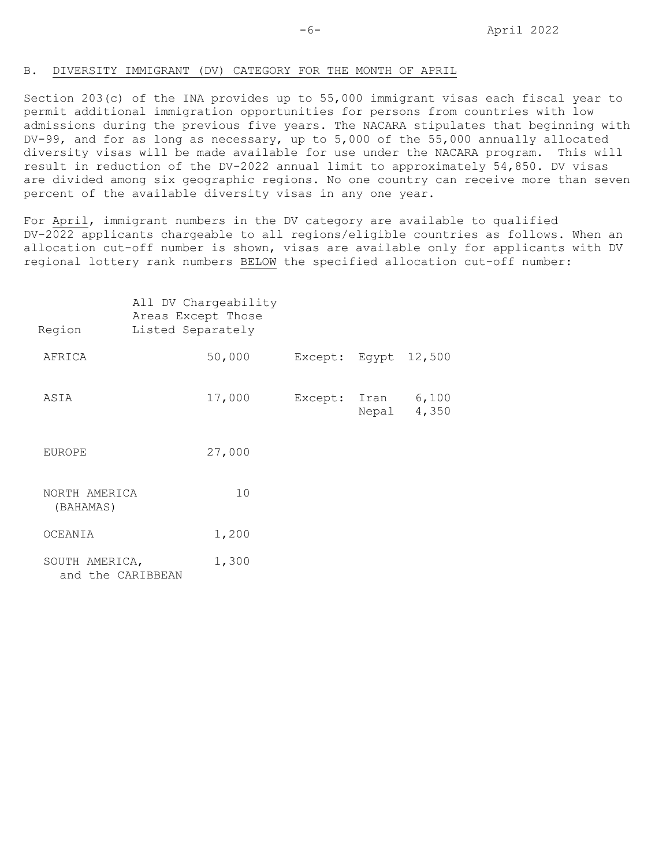### B. DIVERSITY IMMIGRANT (DV) CATEGORY FOR THE MONTH OF APRIL

Section 203(c) of the INA provides up to 55,000 immigrant visas each fiscal year to permit additional immigration opportunities for persons from countries with low admissions during the previous five years. The NACARA stipulates that beginning with DV-99, and for as long as necessary, up to 5,000 of the 55,000 annually allocated diversity visas will be made available for use under the NACARA program. This will result in reduction of the DV-2022 annual limit to approximately 54,850. DV visas are divided among six geographic regions. No one country can receive more than seven percent of the available diversity visas in any one year.

For April, immigrant numbers in the DV category are available to qualified DV-2022 applicants chargeable to all regions/eligible countries as follows. When an allocation cut-off number is shown, visas are available only for applicants with DV regional lottery rank numbers BELOW the specified allocation cut-off number:

| Region                              | Listed Separately | All DV Chargeability<br>Areas Except Those |               |               |                |
|-------------------------------------|-------------------|--------------------------------------------|---------------|---------------|----------------|
| AFRICA                              |                   | 50,000                                     | Except: Egypt |               | 12,500         |
| ASIA                                |                   | 17,000                                     | Except:       | Iran<br>Nepal | 6,100<br>4,350 |
| <b>EUROPE</b>                       |                   | 27,000                                     |               |               |                |
| NORTH AMERICA<br>(BAHAMAS)          |                   | 10                                         |               |               |                |
| OCEANIA                             |                   | 1,200                                      |               |               |                |
| SOUTH AMERICA,<br>and the CARIBBEAN |                   | 1,300                                      |               |               |                |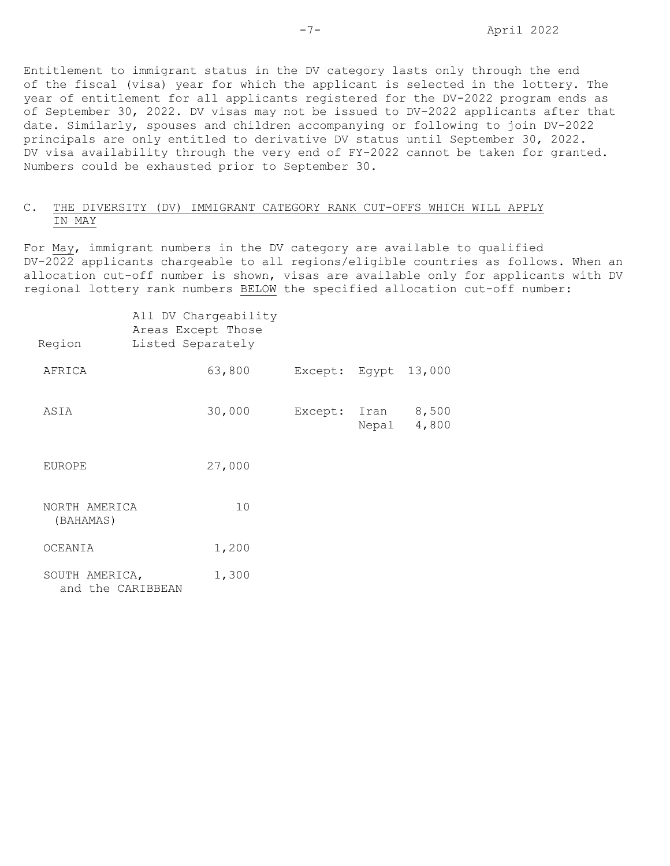Entitlement to immigrant status in the DV category lasts only through the end of the fiscal (visa) year for which the applicant is selected in the lottery. The year of entitlement for all applicants registered for the DV-2022 program ends as of September 30, 2022. DV visas may not be issued to DV-2022 applicants after that date. Similarly, spouses and children accompanying or following to join DV-2022 principals are only entitled to derivative DV status until September 30, 2022. DV visa availability through the very end of FY-2022 cannot be taken for granted. Numbers could be exhausted prior to September 30.

# C. THE DIVERSITY (DV) IMMIGRANT CATEGORY RANK CUT-OFFS WHICH WILL APPLY IN MAY

For May, immigrant numbers in the DV category are available to qualified DV-2022 applicants chargeable to all regions/eligible countries as follows. When an allocation cut-off number is shown, visas are available only for applicants with DV regional lottery rank numbers BELOW the specified allocation cut-off number:

| Region                              | Listed Separately | All DV Chargeability<br>Areas Except Those |                      |       |                |
|-------------------------------------|-------------------|--------------------------------------------|----------------------|-------|----------------|
| AFRICA                              |                   | 63,800                                     | Except: Egypt 13,000 |       |                |
| ASIA                                |                   | 30,000                                     | Except: Iran         | Nepal | 8,500<br>4,800 |
| <b>EUROPE</b>                       |                   | 27,000                                     |                      |       |                |
| NORTH AMERICA<br>(BAHAMAS)          |                   | 10                                         |                      |       |                |
| OCEANIA                             |                   | 1,200                                      |                      |       |                |
| SOUTH AMERICA,<br>and the CARIBBEAN |                   | 1,300                                      |                      |       |                |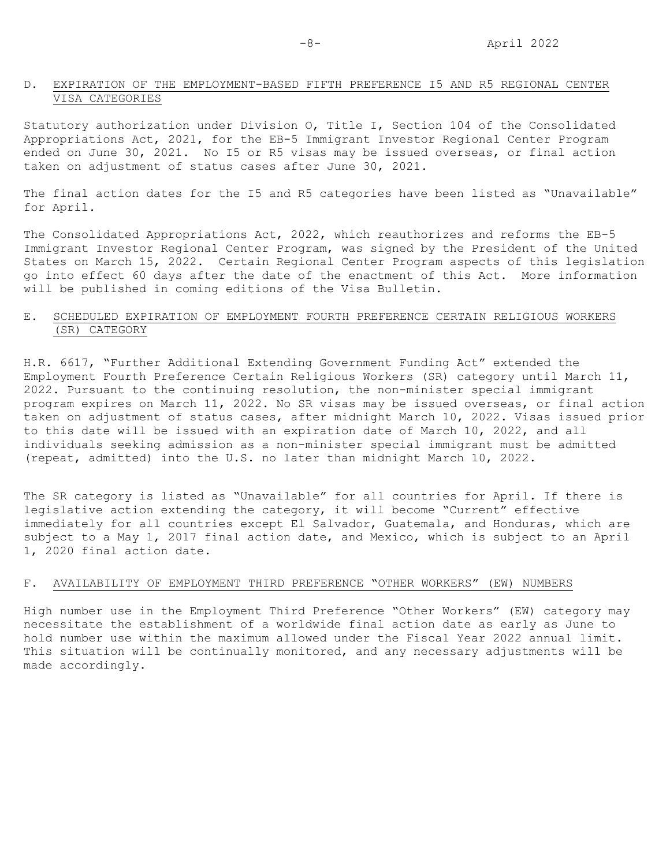# D. EXPIRATION OF THE EMPLOYMENT-BASED FIFTH PREFERENCE I5 AND R5 REGIONAL CENTER VISA CATEGORIES

Statutory authorization under Division O, Title I, Section 104 of the Consolidated Appropriations Act, 2021, for the EB-5 Immigrant Investor Regional Center Program ended on June 30, 2021. No I5 or R5 visas may be issued overseas, or final action taken on adjustment of status cases after June 30, 2021.

The final action dates for the I5 and R5 categories have been listed as "Unavailable" for April.

The Consolidated Appropriations Act, 2022, which reauthorizes and reforms the EB-5 Immigrant Investor Regional Center Program, was signed by the President of the United States on March 15, 2022. Certain Regional Center Program aspects of this legislation go into effect 60 days after the date of the enactment of this Act. More information will be published in coming editions of the Visa Bulletin.

# E**.** SCHEDULED EXPIRATION OF EMPLOYMENT FOURTH PREFERENCE CERTAIN RELIGIOUS WORKERS (SR) CATEGORY

H.R. 6617, "Further Additional Extending Government Funding Act" extended the Employment Fourth Preference Certain Religious Workers (SR) category until March 11, 2022. Pursuant to the continuing resolution, the non-minister special immigrant program expires on March 11, 2022. No SR visas may be issued overseas, or final action taken on adjustment of status cases, after midnight March 10, 2022. Visas issued prior to this date will be issued with an expiration date of March 10, 2022, and all individuals seeking admission as a non-minister special immigrant must be admitted (repeat, admitted) into the U.S. no later than midnight March 10, 2022.

The SR category is listed as "Unavailable" for all countries for April. If there is legislative action extending the category, it will become "Current" effective immediately for all countries except El Salvador, Guatemala, and Honduras, which are subject to a May 1, 2017 final action date, and Mexico, which is subject to an April 1, 2020 final action date.

### F**.** AVAILABILITY OF EMPLOYMENT THIRD PREFERENCE "OTHER WORKERS" (EW) NUMBERS

High number use in the Employment Third Preference "Other Workers" (EW) category may necessitate the establishment of a worldwide final action date as early as June to hold number use within the maximum allowed under the Fiscal Year 2022 annual limit. This situation will be continually monitored, and any necessary adjustments will be made accordingly.